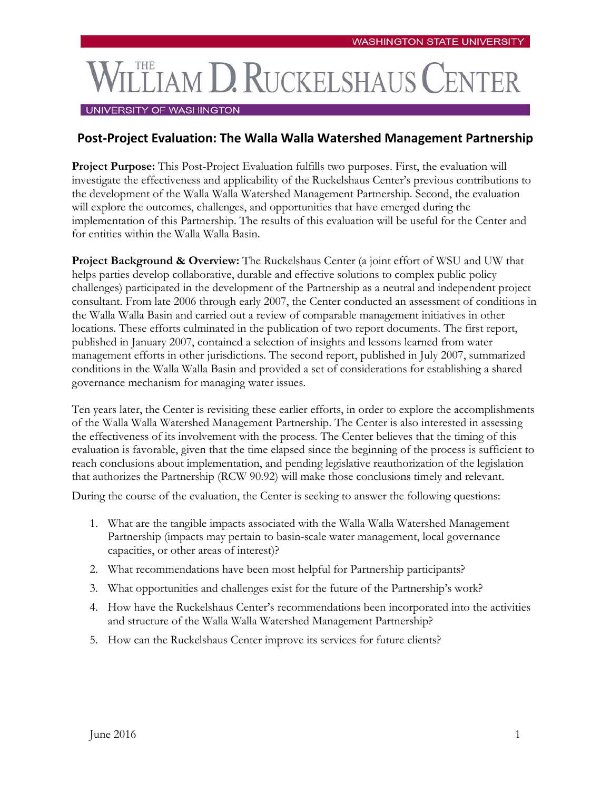## **LLIAM D. RUCKELSHAUS C**

## UNIVERSITY OF WASHINGTON

## **Post-Project Evaluation: The Walla Walla Watershed Management Partnership**

**Project Purpose:** This Post-Project Evaluation fulfills two purposes. First, the evaluation will investigate the effectiveness and applicability of the Ruckelshaus Center's previous contributions to the development of the Walla Walla Watershed Management Partnership. Second, the evaluation will explore the outcomes, challenges, and opportunities that have emerged during the implementation of this Partnership. The results of this evaluation will be useful for the Center and for entities within the Walla Walla Basin.

**Project Background & Overview:** The Ruckelshaus Center (a joint effort of WSU and UW that helps parties develop collaborative, durable and effective solutions to complex public policy challenges) participated in the development of the Partnership as a neutral and independent project consultant. From late 2006 through early 2007, the Center conducted an assessment of conditions in the Walla Walla Basin and carried out a review of comparable management initiatives in other locations. These efforts culminated in the publication of two report documents. The first report, published in January 2007, contained a selection of insights and lessons learned from water management efforts in other jurisdictions. The second report, published in July 2007, summarized conditions in the Walla Walla Basin and provided a set of considerations for establishing a shared governance mechanism for managing water issues.

Ten years later, the Center is revisiting these earlier efforts, in order to explore the accomplishments of the Walla Walla Watershed Management Partnership. The Center is also interested in assessing the effectiveness of its involvement with the process. The Center believes that the timing of this evaluation is favorable, given that the time elapsed since the beginning of the process is sufficient to reach conclusions about implementation, and pending legislative reauthorization of the legislation that authorizes the Partnership (RCW 90.92) will make those conclusions timely and relevant.

During the course of the evaluation, the Center is seeking to answer the following questions:

- 1. What are the tangible impacts associated with the Walla Walla Watershed Management Partnership (impacts may pertain to basin-scale water management, local governance capacities, or other areas of interest)?
- 2. What recommendations have been most helpful for Partnership participants?
- 3. What opportunities and challenges exist for the future of the Partnership's work?
- 4. How have the Ruckelshaus Center's recommendations been incorporated into the activities and structure of the Walla Walla Watershed Management Partnership?
- 5. How can the Ruckelshaus Center improve its services for future clients?